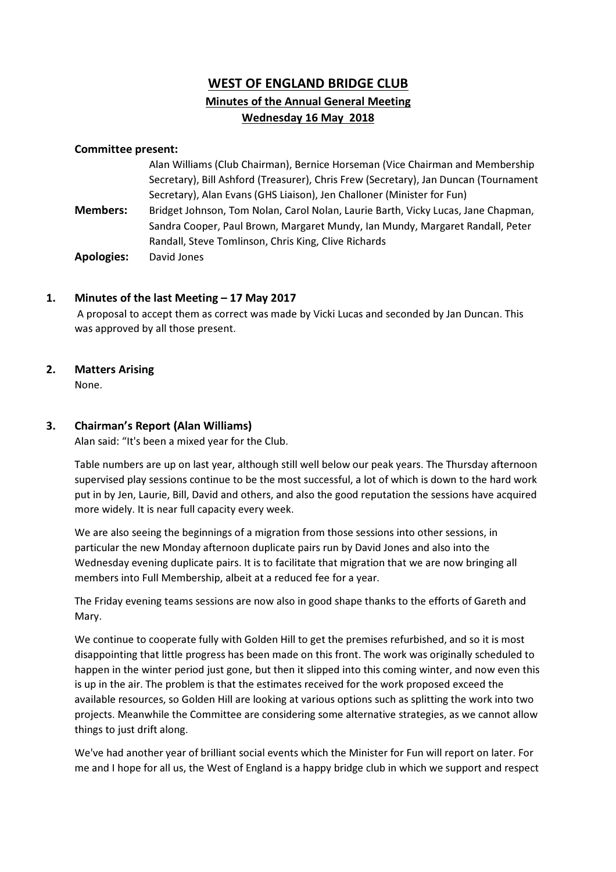# WEST OF ENGLAND BRIDGE CLUB Minutes of the Annual General Meeting Wednesday 16 May 2018

### Committee present:

|                   | Alan Williams (Club Chairman), Bernice Horseman (Vice Chairman and Membership        |
|-------------------|--------------------------------------------------------------------------------------|
|                   | Secretary), Bill Ashford (Treasurer), Chris Frew (Secretary), Jan Duncan (Tournament |
|                   | Secretary), Alan Evans (GHS Liaison), Jen Challoner (Minister for Fun)               |
| <b>Members:</b>   | Bridget Johnson, Tom Nolan, Carol Nolan, Laurie Barth, Vicky Lucas, Jane Chapman,    |
|                   | Sandra Cooper, Paul Brown, Margaret Mundy, Ian Mundy, Margaret Randall, Peter        |
|                   | Randall, Steve Tomlinson, Chris King, Clive Richards                                 |
| <b>Apologies:</b> | David Jones                                                                          |

### 1. Minutes of the last Meeting – 17 May 2017

 A proposal to accept them as correct was made by Vicki Lucas and seconded by Jan Duncan. This was approved by all those present.

## 2. Matters Arising

None.

## 3. Chairman's Report (Alan Williams)

Alan said: "It's been a mixed year for the Club.

Table numbers are up on last year, although still well below our peak years. The Thursday afternoon supervised play sessions continue to be the most successful, a lot of which is down to the hard work put in by Jen, Laurie, Bill, David and others, and also the good reputation the sessions have acquired more widely. It is near full capacity every week.

We are also seeing the beginnings of a migration from those sessions into other sessions, in particular the new Monday afternoon duplicate pairs run by David Jones and also into the Wednesday evening duplicate pairs. It is to facilitate that migration that we are now bringing all members into Full Membership, albeit at a reduced fee for a year.

The Friday evening teams sessions are now also in good shape thanks to the efforts of Gareth and Mary.

We continue to cooperate fully with Golden Hill to get the premises refurbished, and so it is most disappointing that little progress has been made on this front. The work was originally scheduled to happen in the winter period just gone, but then it slipped into this coming winter, and now even this is up in the air. The problem is that the estimates received for the work proposed exceed the available resources, so Golden Hill are looking at various options such as splitting the work into two projects. Meanwhile the Committee are considering some alternative strategies, as we cannot allow things to just drift along.

We've had another year of brilliant social events which the Minister for Fun will report on later. For me and I hope for all us, the West of England is a happy bridge club in which we support and respect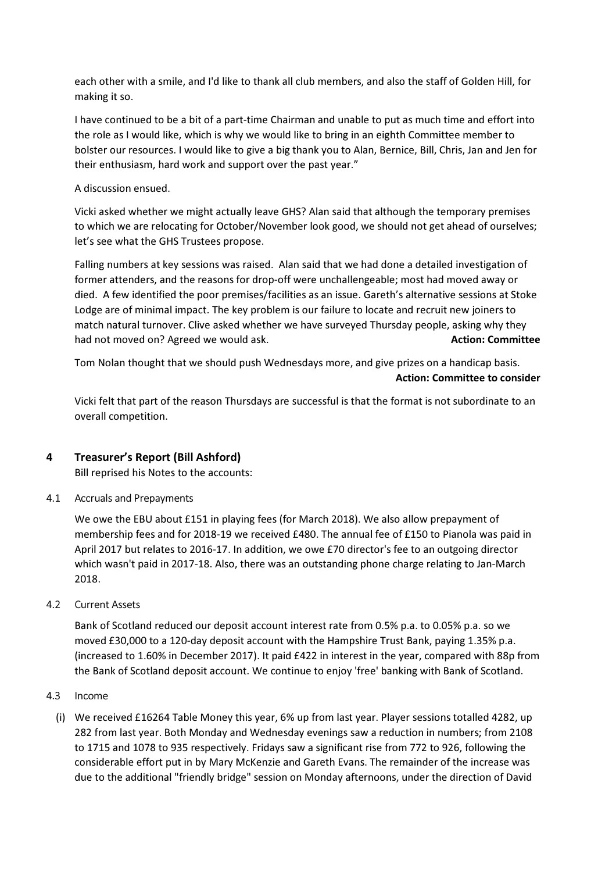each other with a smile, and I'd like to thank all club members, and also the staff of Golden Hill, for making it so.

I have continued to be a bit of a part-time Chairman and unable to put as much time and effort into the role as I would like, which is why we would like to bring in an eighth Committee member to bolster our resources. I would like to give a big thank you to Alan, Bernice, Bill, Chris, Jan and Jen for their enthusiasm, hard work and support over the past year."

### A discussion ensued.

Vicki asked whether we might actually leave GHS? Alan said that although the temporary premises to which we are relocating for October/November look good, we should not get ahead of ourselves; let's see what the GHS Trustees propose.

Falling numbers at key sessions was raised. Alan said that we had done a detailed investigation of former attenders, and the reasons for drop-off were unchallengeable; most had moved away or died. A few identified the poor premises/facilities as an issue. Gareth's alternative sessions at Stoke Lodge are of minimal impact. The key problem is our failure to locate and recruit new joiners to match natural turnover. Clive asked whether we have surveyed Thursday people, asking why they had not moved on? Agreed we would ask. Action: Committee had not moved on? Agreed we would ask.

Tom Nolan thought that we should push Wednesdays more, and give prizes on a handicap basis. Action: Committee to consider

Vicki felt that part of the reason Thursdays are successful is that the format is not subordinate to an overall competition.

## 4 Treasurer's Report (Bill Ashford)

Bill reprised his Notes to the accounts:

4.1 Accruals and Prepayments

We owe the EBU about £151 in playing fees (for March 2018). We also allow prepayment of membership fees and for 2018-19 we received £480. The annual fee of £150 to Pianola was paid in April 2017 but relates to 2016-17. In addition, we owe £70 director's fee to an outgoing director which wasn't paid in 2017-18. Also, there was an outstanding phone charge relating to Jan-March 2018.

4.2 Current Assets

Bank of Scotland reduced our deposit account interest rate from 0.5% p.a. to 0.05% p.a. so we moved £30,000 to a 120-day deposit account with the Hampshire Trust Bank, paying 1.35% p.a. (increased to 1.60% in December 2017). It paid £422 in interest in the year, compared with 88p from the Bank of Scotland deposit account. We continue to enjoy 'free' banking with Bank of Scotland.

- 4.3 Income
	- (i) We received £16264 Table Money this year, 6% up from last year. Player sessions totalled 4282, up 282 from last year. Both Monday and Wednesday evenings saw a reduction in numbers; from 2108 to 1715 and 1078 to 935 respectively. Fridays saw a significant rise from 772 to 926, following the considerable effort put in by Mary McKenzie and Gareth Evans. The remainder of the increase was due to the additional "friendly bridge" session on Monday afternoons, under the direction of David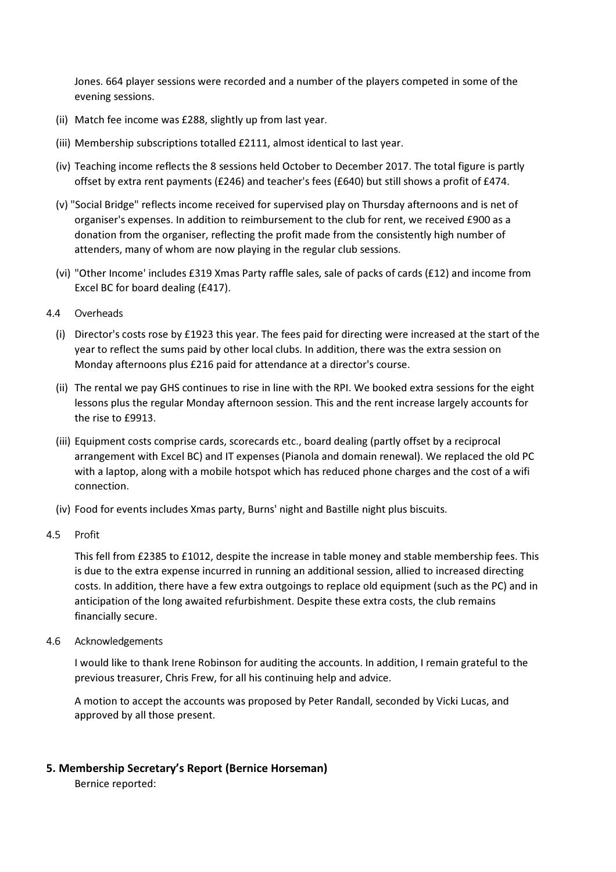Jones. 664 player sessions were recorded and a number of the players competed in some of the evening sessions.

- (ii) Match fee income was £288, slightly up from last year.
- (iii) Membership subscriptions totalled £2111, almost identical to last year.
- (iv) Teaching income reflects the 8 sessions held October to December 2017. The total figure is partly offset by extra rent payments (£246) and teacher's fees (£640) but still shows a profit of £474.
- (v) "Social Bridge" reflects income received for supervised play on Thursday afternoons and is net of organiser's expenses. In addition to reimbursement to the club for rent, we received £900 as a donation from the organiser, reflecting the profit made from the consistently high number of attenders, many of whom are now playing in the regular club sessions.
- (vi) "Other Income' includes £319 Xmas Party raffle sales, sale of packs of cards (£12) and income from Excel BC for board dealing (£417).
- 4.4 Overheads
	- (i) Director's costs rose by £1923 this year. The fees paid for directing were increased at the start of the year to reflect the sums paid by other local clubs. In addition, there was the extra session on Monday afternoons plus £216 paid for attendance at a director's course.
	- (ii) The rental we pay GHS continues to rise in line with the RPI. We booked extra sessions for the eight lessons plus the regular Monday afternoon session. This and the rent increase largely accounts for the rise to £9913.
	- (iii) Equipment costs comprise cards, scorecards etc., board dealing (partly offset by a reciprocal arrangement with Excel BC) and IT expenses (Pianola and domain renewal). We replaced the old PC with a laptop, along with a mobile hotspot which has reduced phone charges and the cost of a wifi connection.
	- (iv) Food for events includes Xmas party, Burns' night and Bastille night plus biscuits.
- 4.5 Profit

This fell from £2385 to £1012, despite the increase in table money and stable membership fees. This is due to the extra expense incurred in running an additional session, allied to increased directing costs. In addition, there have a few extra outgoings to replace old equipment (such as the PC) and in anticipation of the long awaited refurbishment. Despite these extra costs, the club remains financially secure.

4.6 Acknowledgements

I would like to thank Irene Robinson for auditing the accounts. In addition, I remain grateful to the previous treasurer, Chris Frew, for all his continuing help and advice.

A motion to accept the accounts was proposed by Peter Randall, seconded by Vicki Lucas, and approved by all those present.

### 5. Membership Secretary's Report (Bernice Horseman)

Bernice reported: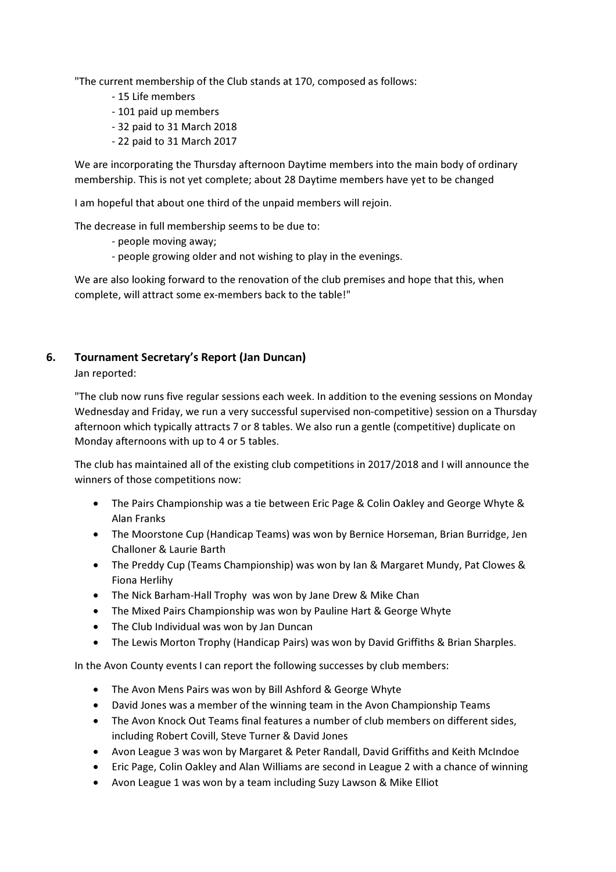"The current membership of the Club stands at 170, composed as follows:

- 15 Life members
- 101 paid up members
- 32 paid to 31 March 2018
- 22 paid to 31 March 2017

We are incorporating the Thursday afternoon Daytime members into the main body of ordinary membership. This is not yet complete; about 28 Daytime members have yet to be changed

I am hopeful that about one third of the unpaid members will rejoin.

The decrease in full membership seems to be due to:

- people moving away;
- people growing older and not wishing to play in the evenings.

We are also looking forward to the renovation of the club premises and hope that this, when complete, will attract some ex-members back to the table!"

## 6. Tournament Secretary's Report (Jan Duncan)

Jan reported:

"The club now runs five regular sessions each week. In addition to the evening sessions on Monday Wednesday and Friday, we run a very successful supervised non-competitive) session on a Thursday afternoon which typically attracts 7 or 8 tables. We also run a gentle (competitive) duplicate on Monday afternoons with up to 4 or 5 tables.

The club has maintained all of the existing club competitions in 2017/2018 and I will announce the winners of those competitions now:

- The Pairs Championship was a tie between Eric Page & Colin Oakley and George Whyte & Alan Franks
- The Moorstone Cup (Handicap Teams) was won by Bernice Horseman, Brian Burridge, Jen Challoner & Laurie Barth
- The Preddy Cup (Teams Championship) was won by Ian & Margaret Mundy, Pat Clowes & Fiona Herlihy
- The Nick Barham-Hall Trophy was won by Jane Drew & Mike Chan
- The Mixed Pairs Championship was won by Pauline Hart & George Whyte
- The Club Individual was won by Jan Duncan
- The Lewis Morton Trophy (Handicap Pairs) was won by David Griffiths & Brian Sharples.

In the Avon County events I can report the following successes by club members:

- The Avon Mens Pairs was won by Bill Ashford & George Whyte
- David Jones was a member of the winning team in the Avon Championship Teams
- The Avon Knock Out Teams final features a number of club members on different sides, including Robert Covill, Steve Turner & David Jones
- Avon League 3 was won by Margaret & Peter Randall, David Griffiths and Keith McIndoe
- Eric Page, Colin Oakley and Alan Williams are second in League 2 with a chance of winning
- Avon League 1 was won by a team including Suzy Lawson & Mike Elliot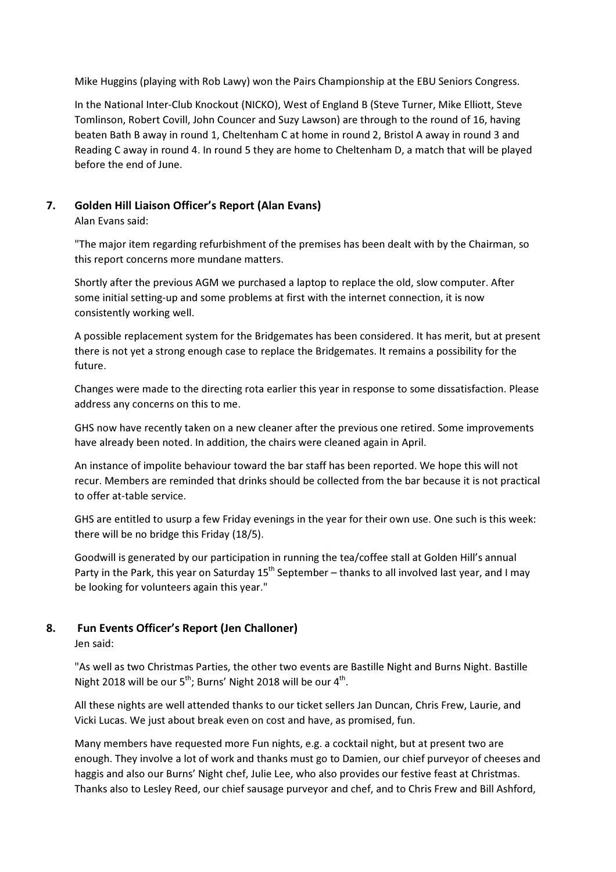Mike Huggins (playing with Rob Lawy) won the Pairs Championship at the EBU Seniors Congress.

In the National Inter-Club Knockout (NICKO), West of England B (Steve Turner, Mike Elliott, Steve Tomlinson, Robert Covill, John Councer and Suzy Lawson) are through to the round of 16, having beaten Bath B away in round 1, Cheltenham C at home in round 2, Bristol A away in round 3 and Reading C away in round 4. In round 5 they are home to Cheltenham D, a match that will be played before the end of June.

## 7. Golden Hill Liaison Officer's Report (Alan Evans)

Alan Evans said:

"The major item regarding refurbishment of the premises has been dealt with by the Chairman, so this report concerns more mundane matters.

Shortly after the previous AGM we purchased a laptop to replace the old, slow computer. After some initial setting-up and some problems at first with the internet connection, it is now consistently working well.

A possible replacement system for the Bridgemates has been considered. It has merit, but at present there is not yet a strong enough case to replace the Bridgemates. It remains a possibility for the future.

Changes were made to the directing rota earlier this year in response to some dissatisfaction. Please address any concerns on this to me.

GHS now have recently taken on a new cleaner after the previous one retired. Some improvements have already been noted. In addition, the chairs were cleaned again in April.

An instance of impolite behaviour toward the bar staff has been reported. We hope this will not recur. Members are reminded that drinks should be collected from the bar because it is not practical to offer at-table service.

GHS are entitled to usurp a few Friday evenings in the year for their own use. One such is this week: there will be no bridge this Friday (18/5).

Goodwill is generated by our participation in running the tea/coffee stall at Golden Hill's annual Party in the Park, this year on Saturday 15<sup>th</sup> September – thanks to all involved last year, and I may be looking for volunteers again this year."

## 8. Fun Events Officer's Report (Jen Challoner)

Jen said:

"As well as two Christmas Parties, the other two events are Bastille Night and Burns Night. Bastille Night 2018 will be our  $5^{th}$ ; Burns' Night 2018 will be our  $4^{th}$ .

All these nights are well attended thanks to our ticket sellers Jan Duncan, Chris Frew, Laurie, and Vicki Lucas. We just about break even on cost and have, as promised, fun.

Many members have requested more Fun nights, e.g. a cocktail night, but at present two are enough. They involve a lot of work and thanks must go to Damien, our chief purveyor of cheeses and haggis and also our Burns' Night chef, Julie Lee, who also provides our festive feast at Christmas. Thanks also to Lesley Reed, our chief sausage purveyor and chef, and to Chris Frew and Bill Ashford,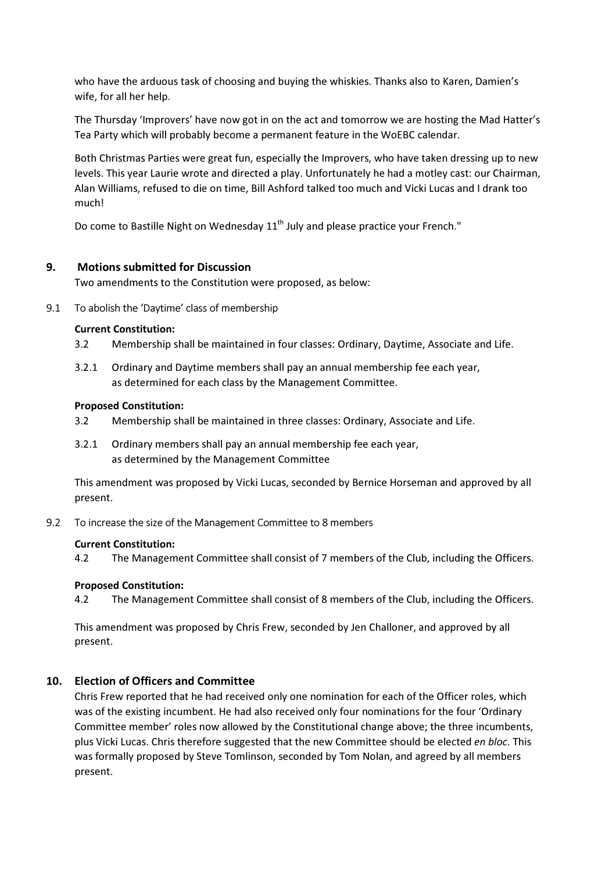who have the arduous task of choosing and buying the whiskies. Thanks also to Karen, Damien's wife, for all her help.

The Thursday 'Improvers' have now got in on the act and tomorrow we are hosting the Mad Hatter's Tea Party which will probably become a permanent feature in the WoEBC calendar.

Both Christmas Parties were great fun, especially the Improvers, who have taken dressing up to new levels. This year Laurie wrote and directed a play. Unfortunately he had a motley cast: our Chairman, Alan Williams, refused to die on time, Bill Ashford talked too much and Vicki Lucas and I drank too much!

Do come to Bastille Night on Wednesday  $11<sup>th</sup>$  July and please practice your French."

## 9. Motions submitted for Discussion

Two amendments to the Constitution were proposed, as below:

9.1 To abolish the 'Daytime' class of membership

### Current Constitution:

- 3.2 Membership shall be maintained in four classes: Ordinary, Daytime, Associate and Life.
- 3.2.1 Ordinary and Daytime members shall pay an annual membership fee each year, as determined for each class by the Management Committee.

### Proposed Constitution:

- 3.2 Membership shall be maintained in three classes: Ordinary, Associate and Life.
- 3.2.1 Ordinary members shall pay an annual membership fee each year, as determined by the Management Committee

This amendment was proposed by Vicki Lucas, seconded by Bernice Horseman and approved by all present.

9.2 To increase the size of the Management Committee to 8 members

### Current Constitution:

4.2 The Management Committee shall consist of 7 members of the Club, including the Officers.

### Proposed Constitution:

4.2 The Management Committee shall consist of 8 members of the Club, including the Officers.

This amendment was proposed by Chris Frew, seconded by Jen Challoner, and approved by all present.

## 10. Election of Officers and Committee

Chris Frew reported that he had received only one nomination for each of the Officer roles, which was of the existing incumbent. He had also received only four nominations for the four 'Ordinary Committee member' roles now allowed by the Constitutional change above; the three incumbents, plus Vicki Lucas. Chris therefore suggested that the new Committee should be elected en bloc. This was formally proposed by Steve Tomlinson, seconded by Tom Nolan, and agreed by all members present.